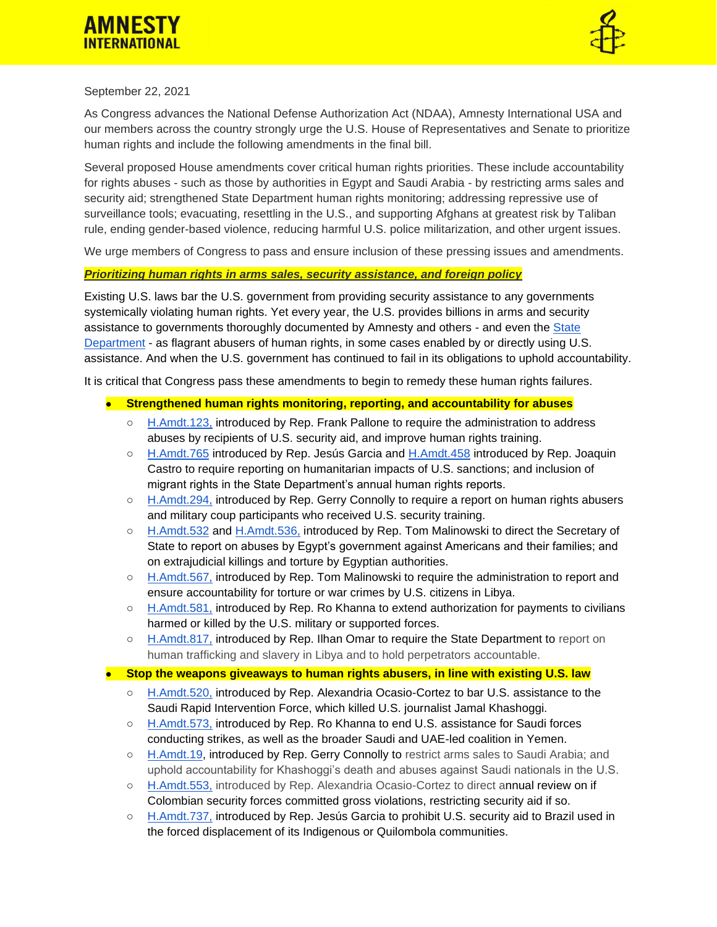



### September 22, 2021

As Congress advances the National Defense Authorization Act (NDAA), Amnesty International USA and our members across the country strongly urge the U.S. House of Representatives and Senate to prioritize human rights and include the following amendments in the final bill.

Several proposed House amendments cover critical human rights priorities. These include accountability for rights abuses - such as those by authorities in Egypt and Saudi Arabia - by restricting arms sales and security aid; strengthened State Department human rights monitoring; addressing repressive use of surveillance tools; evacuating, resettling in the U.S., and supporting Afghans at greatest risk by Taliban rule, ending gender-based violence, reducing harmful U.S. police militarization, and other urgent issues.

We urge members of Congress to pass and ensure inclusion of these pressing issues and amendments.

#### *Prioritizing human rights in arms sales, security assistance, and foreign policy*

Existing U.S. laws bar the U.S. government from providing security assistance to any governments systemically violating human rights. Yet every year, the U.S. provides billions in arms and security assistance to governments thoroughly documented by Amnesty and others - and even the [State](https://www.state.gov/reports/2020-country-reports-on-human-rights-practices/)  [Department](https://www.state.gov/reports/2020-country-reports-on-human-rights-practices/) - as flagrant abusers of human rights, in some cases enabled by or directly using U.S. assistance. And when the U.S. government has continued to fail in its obligations to uphold accountability.

It is critical that Congress pass these amendments to begin to remedy these human rights failures.

- **Strengthened human rights monitoring, reporting, and accountability for abuses**
	- [H.Amdt.123,](https://amendments-rules.house.gov/amendments/PALLON_023_xml%20(002)210916182156610.pdf) introduced by Rep. Frank Pallone to require the administration to address abuses by recipients of U.S. security aid, and improve human rights training.
	- [H.Amdt.765](https://amendments-rules.house.gov/amendments/GARCIL_041_xml210919175820102.pdf) introduced by Rep. Jesús Garcia and [H.Amdt.458](https://amendments-rules.house.gov/amendments/2_Castro_NDAA22_MigrationHumanRights210914113713347.pdf) introduced by Rep. Joaquin Castro to require reporting on humanitarian impacts of U.S. sanctions; and inclusion of migrant rights in the State Department's annual human rights reports.
	- [H.Amdt.294,](https://amendments-rules.house.gov/amendments/CONNOL_081_xml210914093923192.pdf) introduced by Rep. Gerry Connolly to require a report on human rights abusers and military coup participants who received U.S. security training.
	- [H.Amdt.532](https://amendments-rules.house.gov/amendments/MALINJ_048%20-%20Egypt%20Harassment210914120200681.pdf) and [H.Amdt.536,](https://amendments-rules.house.gov/amendments/MALINJ_051%20Egy%20EJKs210914122358695.pdf) introduced by Rep. Tom Malinowski to direct the Secretary of State to report on abuses by Egypt's government against Americans and their families; and on extrajudicial killings and torture by Egyptian authorities.
	- [H.Amdt.567,](https://amendments-rules.house.gov/amendments/MALINJ_058%20Libya210917182753174.pdf) introduced by Rep. Tom Malinowski to require the administration to report and ensure accountability for torture or war crimes by U.S. citizens in Libya.
	- [H.Amdt.581,](https://amendments-rules.house.gov/amendments/KHANNA_035_xml210914121755154.pdf) introduced by Rep. Ro Khanna to extend authorization for payments to civilians harmed or killed by the U.S. military or supported forces.
	- [H.Amdt.817,](https://amendments-rules.house.gov/amendments/OMARMN_068_xml210915145847351.pdf) introduced by Rep. Ilhan Omar to require the State Department to report on human trafficking and slavery in Libya and to hold perpetrators accountable.

### **Becaural Exterm in the weapons giveaways to human rights abusers, in line with existing U.S. law**

- [H.Amdt.520,](https://amendments-rules.house.gov/amendments/OCASNY_079_xml210920160653029.pdf) introduced by Rep. Alexandria Ocasio-Cortez to bar U.S. assistance to the Saudi Rapid Intervention Force, which killed U.S. journalist Jamal Khashoggi.
- [H.Amdt.573,](https://amendments-rules.house.gov/amendments/KHANNA_036_xml%20(00A)210921100311620.pdf) introduced by Rep. Ro Khanna to end U.S. assistance for Saudi forces conducting strikes, as well as the broader Saudi and UAE-led coalition in Yemen.
- [H.Amdt.19,](https://amendments-rules.house.gov/amendments/Protection%20of%20Saudi%20Dissidents%20Amendment%20HR%204350210909161902776.pdf) introduced by Rep. Gerry Connolly to restrict arms sales to Saudi Arabia; and uphold accountability for Khashoggi's death and abuses against Saudi nationals in the U.S.
- [H.Amdt.553,](https://amendments-rules.house.gov/amendments/OCASNY_077_xml210920160853355.pdf) introduced by Rep. Alexandria Ocasio-Cortez to direct annual review on if Colombian security forces committed gross violations, restricting security aid if so.
- [H.Amdt.737,](https://amendments-rules.house.gov/amendments/GARCIL_046_xml210919162448383.pdf) introduced by Rep. Jesús Garcia to prohibit U.S. security aid to Brazil used in the forced displacement of its Indigenous or Quilombola communities.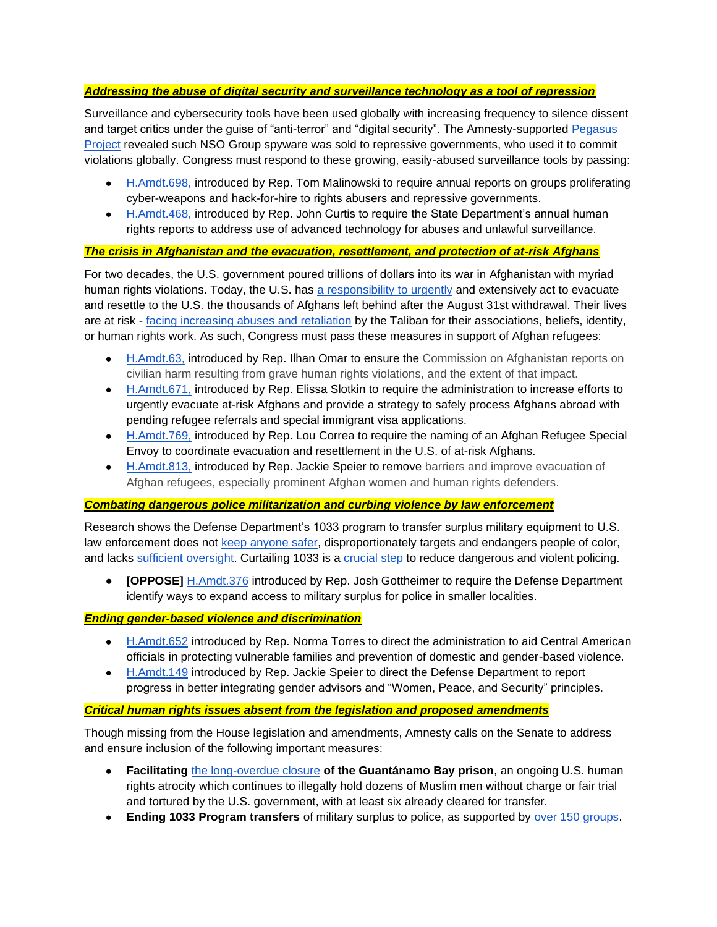## *Addressing the abuse of digital security and surveillance technology as a tool of repression*

Surveillance and cybersecurity tools have been used globally with increasing frequency to silence dissent and target critics under the guise of "anti-terror" and "digital security". The Amnesty-supported [Pegasus](https://www.amnesty.org/en/latest/press-release/2021/07/the-pegasus-project/)  [Project](https://www.amnesty.org/en/latest/press-release/2021/07/the-pegasus-project/) revealed such NSO Group spyware was sold to repressive governments, who used it to commit violations globally. Congress must respond to these growing, easily-abused surveillance tools by passing:

- [H.Amdt.698,](https://amendments-rules.house.gov/amendments/MALINJ_047%20surv%20report210914125201074.pdf) introduced by Rep. Tom Malinowski to require annual reports on groups proliferating cyber-weapons and hack-for-hire to rights abusers and repressive governments.
- [H.Amdt.468,](https://amendments-rules.house.gov/amendments/CURTUT_057_xml210914114121437.pdf) introduced by Rep. John Curtis to require the State Department's annual human rights reports to address use of advanced technology for abuses and unlawful surveillance.

## *The crisis in Afghanistan and the evacuation, resettlement, and protection of at-risk Afghans*

For two decades, the U.S. government poured trillions of dollars into its war in Afghanistan with myriad human rights violations. Today, the U.S. has [a responsibility to urgently](https://www.amnestyusa.org/press-releases/leading-organizations-call-on-president-biden-to-evacuate-afghans/) and extensively act to evacuate and resettle to the U.S. the thousands of Afghans left behind after the August 31st withdrawal. Their lives are at risk - [facing increasing abuses and retaliation](https://www.amnestyusa.org/press-releases/taliban-stamping-out-human-rights-in-afghanistan-says-new-briefing/) by the Taliban for their associations, beliefs, identity, or human rights work. As such, Congress must pass these measures in support of Afghan refugees:

- [H.Amdt.63,](https://amendments-rules.house.gov/amendments/OMARMN_064_xml%5B11%5D210917101642005.pdf) introduced by Rep. Ilhan Omar to ensure the Commission on Afghanistan reports on civilian harm resulting from grave human rights violations, and the extent of that impact.
- [H.Amdt.671,](https://amendments-rules.house.gov/amendments/SLOTKI_074_xml210920115649062.pdf) introduced by Rep. Elissa Slotkin to require the administration to increase efforts to urgently evacuate at-risk Afghans and provide a strategy to safely process Afghans abroad with pending refugee referrals and special immigrant visa applications.
- [H.Amdt.769,](https://amendments-rules.house.gov/amendments/CORREA_056_xml210916215547238.pdf) introduced by Rep. Lou Correa to require the naming of an Afghan Refugee Special Envoy to coordinate evacuation and resettlement in the U.S. of at-risk Afghans.
- [H.Amdt.813,](https://amendments-rules.house.gov/amendments/SPEIER_175_xml210915133708557.pdf) introduced by Rep. Jackie Speier to remove barriers and improve evacuation of Afghan refugees, especially prominent Afghan women and human rights defenders.

# *Combating dangerous police militarization and curbing violence by law enforcement*

Research shows the Defense Department's 1033 program to transfer surplus military equipment to U.S. law enforcement does not [keep anyone safer,](https://abcnews.go.com/US/providing-police-military-gear-reduce-crime-protect-officers/story?id=74518923) disproportionately targets and endangers people of color, and lacks [sufficient oversight.](https://www.gao.gov/assets/690/685916.pdf) Curtailing 1033 is a [crucial step](https://www.amnestyusa.org/wp-content/uploads/2020/07/WorldisWatchingFullReport080220.pdf) to reduce dangerous and violent policing.

● **[OPPOSE]** [H.Amdt.376](https://amendments-rules.house.gov/amendments/GOTTHE_058_xml210914104038215.pdf) introduced by Rep. Josh Gottheimer to require the Defense Department identify ways to expand access to military surplus for police in smaller localities.

### *Ending gender-based violence and discrimination*

- [H.Amdt.652](https://amendments-rules.house.gov/amendments/Central%20American%20Women%20and%20Children%20Protection%20Act%20TORRCA_165_xml210914124126305.pdf) introduced by Rep. Norma Torres to direct the administration to aid Central American officials in protecting vulnerable families and prevention of domestic and gender-based violence.
- [H.Amdt.149](https://amendments-rules.house.gov/amendments/SPEIER_172_xml210916112858153.pdf) introduced by Rep. Jackie Speier to direct the Defense Department to report progress in better integrating gender advisors and "Women, Peace, and Security" principles.

### *Critical human rights issues absent from the legislation and proposed amendments*

Though missing from the House legislation and amendments, Amnesty calls on the Senate to address and ensure inclusion of the following important measures:

- **Facilitating** [the long-overdue closure](https://www.amnestyusa.org/press-releases/president-biden-must-close-guantanamo-bay-detention-center-end-twenty-years-of-human-rights-abuses/) **of the Guantánamo Bay prison**, an ongoing U.S. human rights atrocity which continues to illegally hold dozens of Muslim men without charge or fair trial and tortured by the U.S. government, with at least six already cleared for transfer.
- **Ending 1033 Program transfers** of military surplus to police, as supported by [over 150 groups.](https://drugpolicy.org/sites/default/files/end-1033-sign-on-letter.pdf)